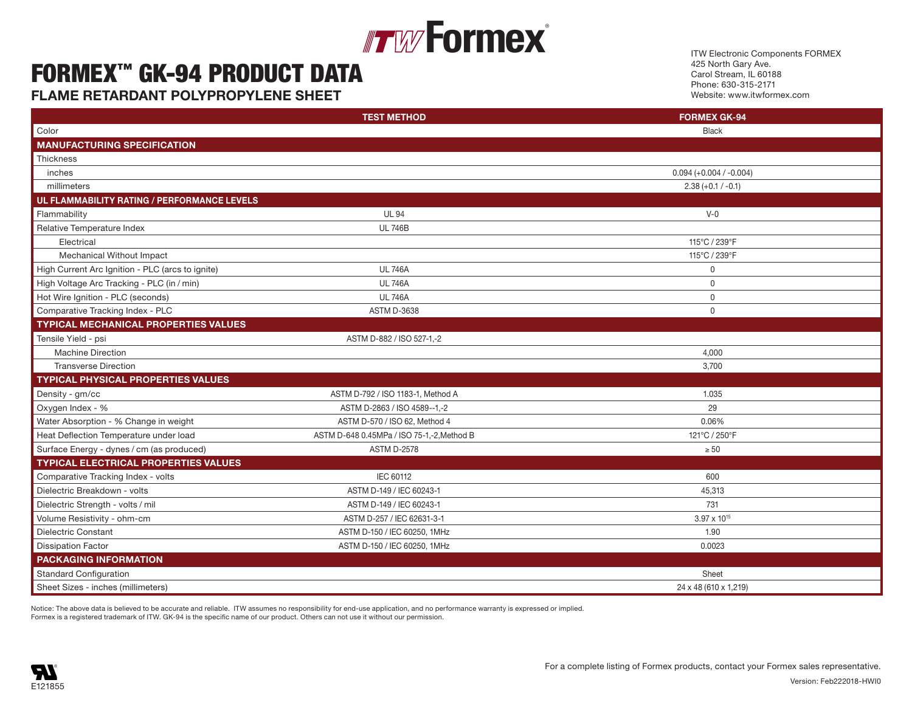## **Formex**® Figure 1. The contract of  $\mathbb{F}_p$  and  $\mathbb{F}_q$  and  $\mathbb{F}_q$  is a set of  $\mathbb{F}_q$  value of  $\mathbb{F}_q$  . The contract of  $\mathbb{F}_q$  is a set of  $\mathbb{F}_q$  is a set of  $\mathbb{F}_q$  is a set of  $\mathbb{F}_q$  is a set of  $\mathbb{F}_q$

## FORMEX™ GK-94 PRODUCT DATA Relative Temperature Index UL 746B  $\blacksquare$ Ex  $\blacksquare$   $\blacksquare$   $\blacksquare$   $\blacksquare$   $\blacksquare$   $\blacksquare$   $\blacksquare$   $\blacksquare$   $\blacksquare$   $\blacksquare$   $\blacksquare$   $\blacksquare$   $\blacksquare$   $\blacksquare$   $\blacksquare$   $\blacksquare$   $\blacksquare$   $\blacksquare$   $\blacksquare$   $\blacksquare$   $\blacksquare$   $\blacksquare$   $\blacksquare$   $\blacksquare$   $\blacksquare$   $\blacksquare$   $\blacksquare$   $\blacksquare$   $\blacksquare$   $\blacksquare$   $\$

**FLAME RETARDANT POLYPROPYLENE SHEET Example 2008 and the Contract 23 and 239°F 115°C/ 239°F 115°C/ 239°F 115°C/ 239°F 115°C/ 239°F 115°C/ 239°F 115°C/ 239°F 115°C/ 239°F 115°C/ 239°F 115°C/ 239°F 115°C/ 239°F 115°C/ 239** 

ITW Electronic Components FORMEX 425 North Gary Ave. Carol Stream, IL 60188 Phone: 630-315-2171 Website: www.itwformex.com

| Color<br><b>MANUFACTURING SPECIFICATION</b><br>Thickness<br>inches<br>millimeters<br>UL FLAMMABILITY RATING / PERFORMANCE LEVELS | <b>Black</b><br>$0.094 (+0.004 / -0.004)$<br>$2.38 (+0.1 / -0.1)$<br>$V-0$ |
|----------------------------------------------------------------------------------------------------------------------------------|----------------------------------------------------------------------------|
|                                                                                                                                  |                                                                            |
|                                                                                                                                  |                                                                            |
|                                                                                                                                  |                                                                            |
|                                                                                                                                  |                                                                            |
|                                                                                                                                  |                                                                            |
|                                                                                                                                  |                                                                            |
| Flammability<br><b>UL 94</b>                                                                                                     |                                                                            |
| <b>UL 746B</b><br>Relative Temperature Index                                                                                     |                                                                            |
| Electrical                                                                                                                       | 115°C / 239°F                                                              |
| Mechanical Without Impact                                                                                                        | 115°C / 239°F                                                              |
| High Current Arc Ignition - PLC (arcs to ignite)<br><b>UL 746A</b>                                                               | $\Omega$                                                                   |
| High Voltage Arc Tracking - PLC (in / min)<br><b>UL 746A</b>                                                                     | $\mathbf 0$                                                                |
| Hot Wire Ignition - PLC (seconds)<br><b>UL 746A</b>                                                                              | $\Omega$                                                                   |
| Comparative Tracking Index - PLC<br><b>ASTM D-3638</b>                                                                           | $\mathbf{0}$                                                               |
| <b>TYPICAL MECHANICAL PROPERTIES VALUES</b>                                                                                      |                                                                            |
| Tensile Yield - psi<br>ASTM D-882 / ISO 527-1,-2                                                                                 |                                                                            |
| <b>Machine Direction</b>                                                                                                         | 4,000                                                                      |
| <b>Transverse Direction</b>                                                                                                      | 3,700                                                                      |
| <b>TYPICAL PHYSICAL PROPERTIES VALUES</b>                                                                                        |                                                                            |
| Density - gm/cc<br>ASTM D-792 / ISO 1183-1, Method A                                                                             | 1.035                                                                      |
| Oxygen Index - %<br>ASTM D-2863 / ISO 4589--1,-2                                                                                 | 29                                                                         |
| Water Absorption - % Change in weight<br>ASTM D-570 / ISO 62, Method 4                                                           | 0.06%                                                                      |
| Heat Deflection Temperature under load<br>ASTM D-648 0.45MPa / ISO 75-1,-2, Method B                                             | 121°C / 250°F                                                              |
| <b>ASTM D-2578</b><br>Surface Energy - dynes / cm (as produced)                                                                  | $\geq 50$                                                                  |
| <b>TYPICAL ELECTRICAL PROPERTIES VALUES</b>                                                                                      |                                                                            |
| Comparative Tracking Index - volts<br>IEC 60112                                                                                  | 600                                                                        |
| ASTM D-149 / IEC 60243-1<br>Dielectric Breakdown - volts                                                                         | 45,313                                                                     |
| Dielectric Strength - volts / mil<br>ASTM D-149 / IEC 60243-1                                                                    | 731                                                                        |
| ASTM D-257 / IEC 62631-3-1<br>Volume Resistivity - ohm-cm                                                                        | $3.97 \times 10^{15}$                                                      |
| Dielectric Constant<br>ASTM D-150 / IEC 60250, 1MHz                                                                              | 1.90                                                                       |
| <b>Dissipation Factor</b><br>ASTM D-150 / IEC 60250, 1MHz                                                                        | 0.0023                                                                     |
| <b>PACKAGING INFORMATION</b>                                                                                                     |                                                                            |
| <b>Standard Configuration</b>                                                                                                    | Sheet                                                                      |
| Sheet Sizes - inches (millimeters)                                                                                               | 24 x 48 (610 x 1,219)                                                      |

Notice: The above data is believed to be accurate and reliable. ITW assumes no responsibility for end-use application, and no performance warranty is expressed or implied. Notice: The above data is believed to be accurate and reliable. Thiv assumes no responsibility for end-use application, and no performance warranty is expressed or implied.<br>Formex is a registered trademark of ITW. GK-94 is